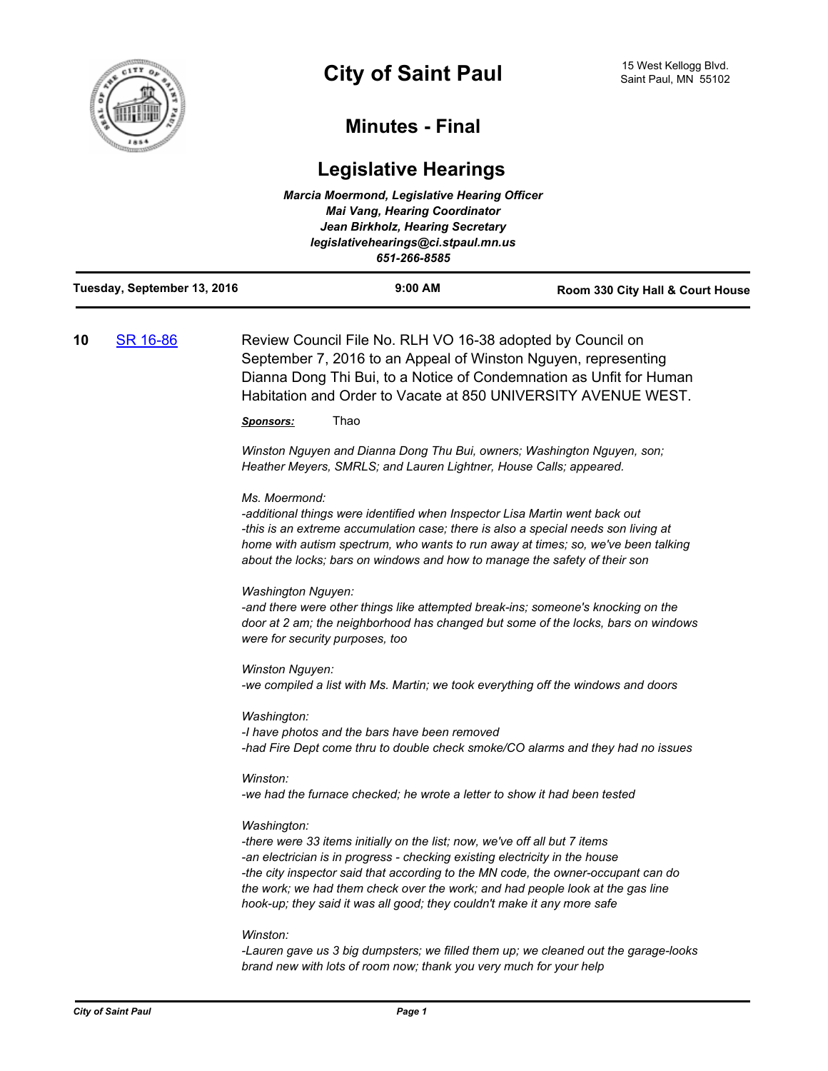

## **Minutes - Final**

# **Legislative Hearings**

| <b>Marcia Moermond, Legislative Hearing Officer</b><br><b>Mai Vang, Hearing Coordinator</b><br>Jean Birkholz, Hearing Secretary<br>legislativehearings@ci.stpaul.mn.us<br>651-266-8585 |                             |                                                                                                                                                                                                                                                                                                                                                       |                                                                                                                                                                                                                                                                                                                                                                                                             |                                  |
|----------------------------------------------------------------------------------------------------------------------------------------------------------------------------------------|-----------------------------|-------------------------------------------------------------------------------------------------------------------------------------------------------------------------------------------------------------------------------------------------------------------------------------------------------------------------------------------------------|-------------------------------------------------------------------------------------------------------------------------------------------------------------------------------------------------------------------------------------------------------------------------------------------------------------------------------------------------------------------------------------------------------------|----------------------------------|
|                                                                                                                                                                                        | Tuesday, September 13, 2016 |                                                                                                                                                                                                                                                                                                                                                       | 9:00 AM                                                                                                                                                                                                                                                                                                                                                                                                     | Room 330 City Hall & Court House |
| 10                                                                                                                                                                                     | SR 16-86                    | Review Council File No. RLH VO 16-38 adopted by Council on<br>September 7, 2016 to an Appeal of Winston Nguyen, representing<br>Dianna Dong Thi Bui, to a Notice of Condemnation as Unfit for Human<br>Habitation and Order to Vacate at 850 UNIVERSITY AVENUE WEST.<br>Thao<br><u>Sponsors:</u>                                                      |                                                                                                                                                                                                                                                                                                                                                                                                             |                                  |
|                                                                                                                                                                                        |                             | Winston Nguyen and Dianna Dong Thu Bui, owners; Washington Nguyen, son;<br>Heather Meyers, SMRLS; and Lauren Lightner, House Calls; appeared.                                                                                                                                                                                                         |                                                                                                                                                                                                                                                                                                                                                                                                             |                                  |
|                                                                                                                                                                                        |                             | Ms. Moermond:<br>-additional things were identified when Inspector Lisa Martin went back out<br>-this is an extreme accumulation case; there is also a special needs son living at<br>home with autism spectrum, who wants to run away at times; so, we've been talking<br>about the locks; bars on windows and how to manage the safety of their son |                                                                                                                                                                                                                                                                                                                                                                                                             |                                  |
|                                                                                                                                                                                        |                             | <b>Washington Nguyen:</b><br>-and there were other things like attempted break-ins; someone's knocking on the<br>door at 2 am; the neighborhood has changed but some of the locks, bars on windows<br>were for security purposes, too                                                                                                                 |                                                                                                                                                                                                                                                                                                                                                                                                             |                                  |
|                                                                                                                                                                                        |                             | Winston Nguyen:<br>-we compiled a list with Ms. Martin; we took everything off the windows and doors                                                                                                                                                                                                                                                  |                                                                                                                                                                                                                                                                                                                                                                                                             |                                  |
|                                                                                                                                                                                        |                             | Washington:                                                                                                                                                                                                                                                                                                                                           | -I have photos and the bars have been removed<br>-had Fire Dept come thru to double check smoke/CO alarms and they had no issues                                                                                                                                                                                                                                                                            |                                  |
|                                                                                                                                                                                        |                             | Winston:                                                                                                                                                                                                                                                                                                                                              | -we had the furnace checked; he wrote a letter to show it had been tested                                                                                                                                                                                                                                                                                                                                   |                                  |
|                                                                                                                                                                                        |                             | Washington:                                                                                                                                                                                                                                                                                                                                           | -there were 33 items initially on the list; now, we've off all but 7 items<br>-an electrician is in progress - checking existing electricity in the house<br>-the city inspector said that according to the MN code, the owner-occupant can do<br>the work; we had them check over the work; and had people look at the gas line<br>hook-up; they said it was all good; they couldn't make it any more safe |                                  |
|                                                                                                                                                                                        |                             | Winston:                                                                                                                                                                                                                                                                                                                                              | -Lauren gave us 3 big dumpsters; we filled them up; we cleaned out the garage-looks<br>brand new with lots of room now; thank you very much for your help                                                                                                                                                                                                                                                   |                                  |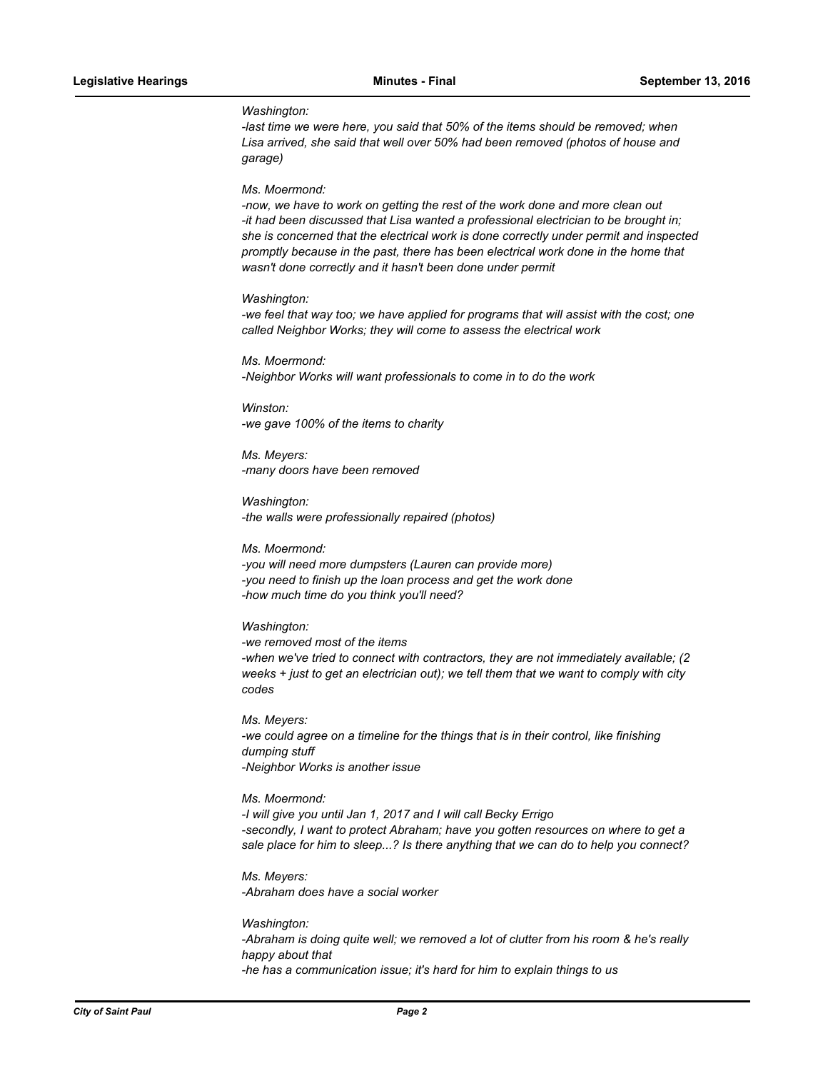#### *Washington:*

*-last time we were here, you said that 50% of the items should be removed; when Lisa arrived, she said that well over 50% had been removed (photos of house and garage)*

#### *Ms. Moermond:*

*-now, we have to work on getting the rest of the work done and more clean out -it had been discussed that Lisa wanted a professional electrician to be brought in; she is concerned that the electrical work is done correctly under permit and inspected promptly because in the past, there has been electrical work done in the home that wasn't done correctly and it hasn't been done under permit*

#### *Washington:*

*-we feel that way too; we have applied for programs that will assist with the cost; one called Neighbor Works; they will come to assess the electrical work*

*Ms. Moermond: -Neighbor Works will want professionals to come in to do the work*

*Winston: -we gave 100% of the items to charity*

*Ms. Meyers: -many doors have been removed*

*Washington: -the walls were professionally repaired (photos)*

*Ms. Moermond: -you will need more dumpsters (Lauren can provide more) -you need to finish up the loan process and get the work done -how much time do you think you'll need?*

*Washington:*

*-we removed most of the items -when we've tried to connect with contractors, they are not immediately available; (2 weeks + just to get an electrician out); we tell them that we want to comply with city codes*

*Ms. Meyers: -we could agree on a timeline for the things that is in their control, like finishing dumping stuff -Neighbor Works is another issue*

*Ms. Moermond: -I will give you until Jan 1, 2017 and I will call Becky Errigo* -secondly, I want to protect Abraham; have you gotten resources on where to get a *sale place for him to sleep...? Is there anything that we can do to help you connect?*

*Ms. Meyers: -Abraham does have a social worker*

*Washington: -Abraham is doing quite well; we removed a lot of clutter from his room & he's really happy about that -he has a communication issue; it's hard for him to explain things to us*